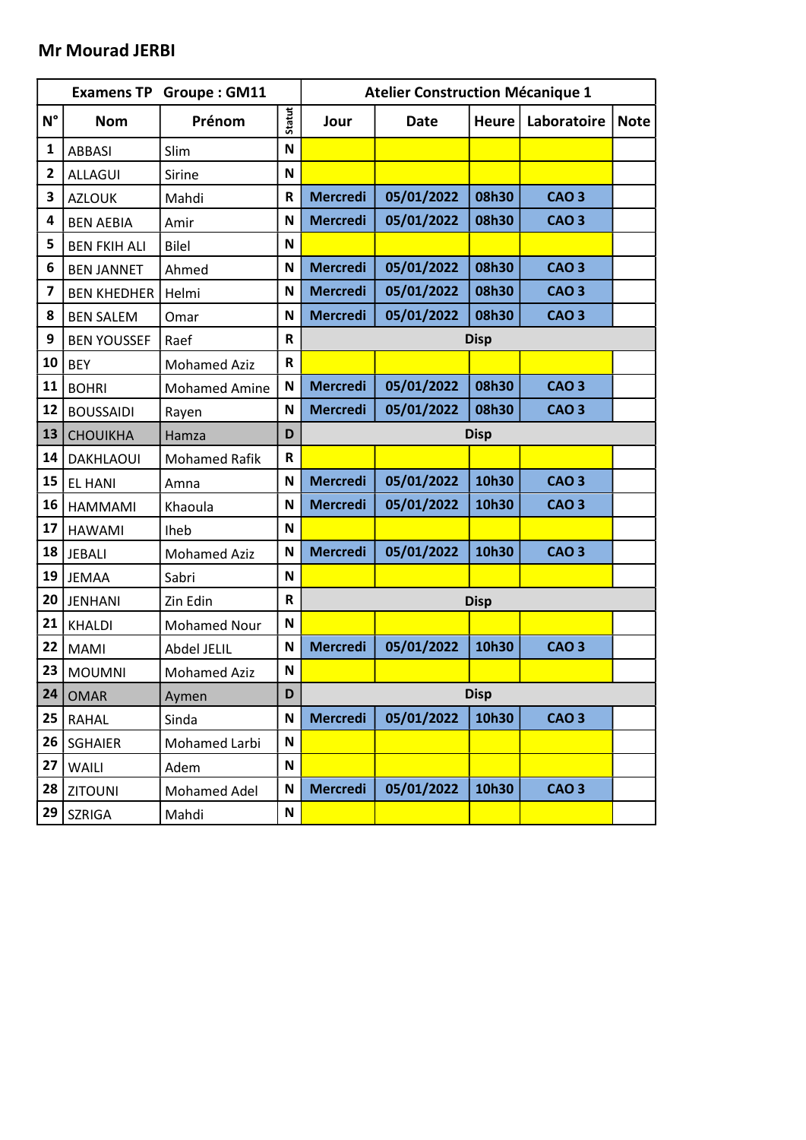### Mr Mourad JERBI

|                         |                     | <b>Examens TP Groupe: GM11</b> |               | <b>Atelier Construction Mécanique 1</b> |             |              |              |             |  |
|-------------------------|---------------------|--------------------------------|---------------|-----------------------------------------|-------------|--------------|--------------|-------------|--|
| $N^{\circ}$             | <b>Nom</b>          | Prénom                         | <b>Statut</b> | Jour                                    | <b>Date</b> | <b>Heure</b> | Laboratoire  | <b>Note</b> |  |
| $\mathbf{1}$            | <b>ABBASI</b>       | Slim                           | N             |                                         |             |              |              |             |  |
| $\overline{2}$          | <b>ALLAGUI</b>      | Sirine                         | N             |                                         |             |              |              |             |  |
| 3                       | <b>AZLOUK</b>       | Mahdi                          | $\mathsf R$   | <b>Mercredi</b>                         | 05/01/2022  | 08h30        | <b>CAO3</b>  |             |  |
| 4                       | <b>BEN AEBIA</b>    | Amir                           | N             | <b>Mercredi</b>                         | 05/01/2022  | 08h30        | <b>CAO3</b>  |             |  |
| 5                       | <b>BEN FKIH ALI</b> | <b>Bilel</b>                   | N             |                                         |             |              |              |             |  |
| 6                       | <b>BEN JANNET</b>   | Ahmed                          | N             | <b>Mercredi</b>                         | 05/01/2022  | 08h30        | <b>CAO 3</b> |             |  |
| $\overline{\mathbf{z}}$ | <b>BEN KHEDHER</b>  | Helmi                          | N             | <b>Mercredi</b>                         | 05/01/2022  | 08h30        | <b>CAO3</b>  |             |  |
| 8                       | <b>BEN SALEM</b>    | Omar                           | N             | <b>Mercredi</b>                         | 05/01/2022  | 08h30        | <b>CAO3</b>  |             |  |
| 9                       | <b>BEN YOUSSEF</b>  | Raef                           | $\mathsf R$   |                                         |             | <b>Disp</b>  |              |             |  |
| 10                      | <b>BEY</b>          | <b>Mohamed Aziz</b>            | $\mathbf R$   |                                         |             |              |              |             |  |
| 11                      | <b>BOHRI</b>        | <b>Mohamed Amine</b>           | N             | <b>Mercredi</b>                         | 05/01/2022  | 08h30        | <b>CAO 3</b> |             |  |
| 12                      | <b>BOUSSAIDI</b>    | Rayen                          | N             | <b>Mercredi</b>                         | 05/01/2022  | 08h30        | <b>CAO3</b>  |             |  |
| 13                      | <b>CHOUIKHA</b>     | Hamza                          | D             |                                         |             | <b>Disp</b>  |              |             |  |
| 14                      | <b>DAKHLAOUI</b>    | <b>Mohamed Rafik</b>           | $\mathbf R$   |                                         |             |              |              |             |  |
| 15                      | <b>EL HANI</b>      | Amna                           | N             | <b>Mercredi</b>                         | 05/01/2022  | 10h30        | <b>CAO3</b>  |             |  |
| 16                      | <b>HAMMAMI</b>      | Khaoula                        | N             | <b>Mercredi</b>                         | 05/01/2022  | 10h30        | <b>CAO3</b>  |             |  |
| 17                      | <b>HAWAMI</b>       | Iheb                           | $\mathbf N$   |                                         |             |              |              |             |  |
| 18                      | <b>JEBALI</b>       | <b>Mohamed Aziz</b>            | N             | <b>Mercredi</b>                         | 05/01/2022  | 10h30        | <b>CAO3</b>  |             |  |
| 19                      | <b>JEMAA</b>        | Sabri                          | N             |                                         |             |              |              |             |  |
| 20                      | <b>JENHANI</b>      | Zin Edin                       | $\mathsf R$   |                                         |             | <b>Disp</b>  |              |             |  |
| 21                      | <b>KHALDI</b>       | <b>Mohamed Nour</b>            | N             |                                         |             |              |              |             |  |
| 22                      | <b>MAMI</b>         | Abdel JELIL                    | N             | <b>Mercredi</b>                         | 05/01/2022  | 10h30        | <b>CAO3</b>  |             |  |
| 23                      | <b>MOUMNI</b>       | <b>Mohamed Aziz</b>            | N             |                                         |             |              |              |             |  |
| 24                      | <b>OMAR</b>         | Aymen                          | D             | <b>Disp</b>                             |             |              |              |             |  |
| 25                      | <b>RAHAL</b>        | Sinda                          | N             | <b>Mercredi</b>                         | 05/01/2022  | 10h30        | <b>CAO 3</b> |             |  |
| 26                      | <b>SGHAIER</b>      | Mohamed Larbi                  | $\mathsf{N}$  |                                         |             |              |              |             |  |
| 27                      | WAILI               | Adem                           | N             |                                         |             |              |              |             |  |
| 28                      | <b>ZITOUNI</b>      | Mohamed Adel                   | $\mathsf{N}$  | <b>Mercredi</b>                         | 05/01/2022  | 10h30        | <b>CAO3</b>  |             |  |
| 29                      | SZRIGA              | Mahdi                          | $\mathsf{N}$  |                                         |             |              |              |             |  |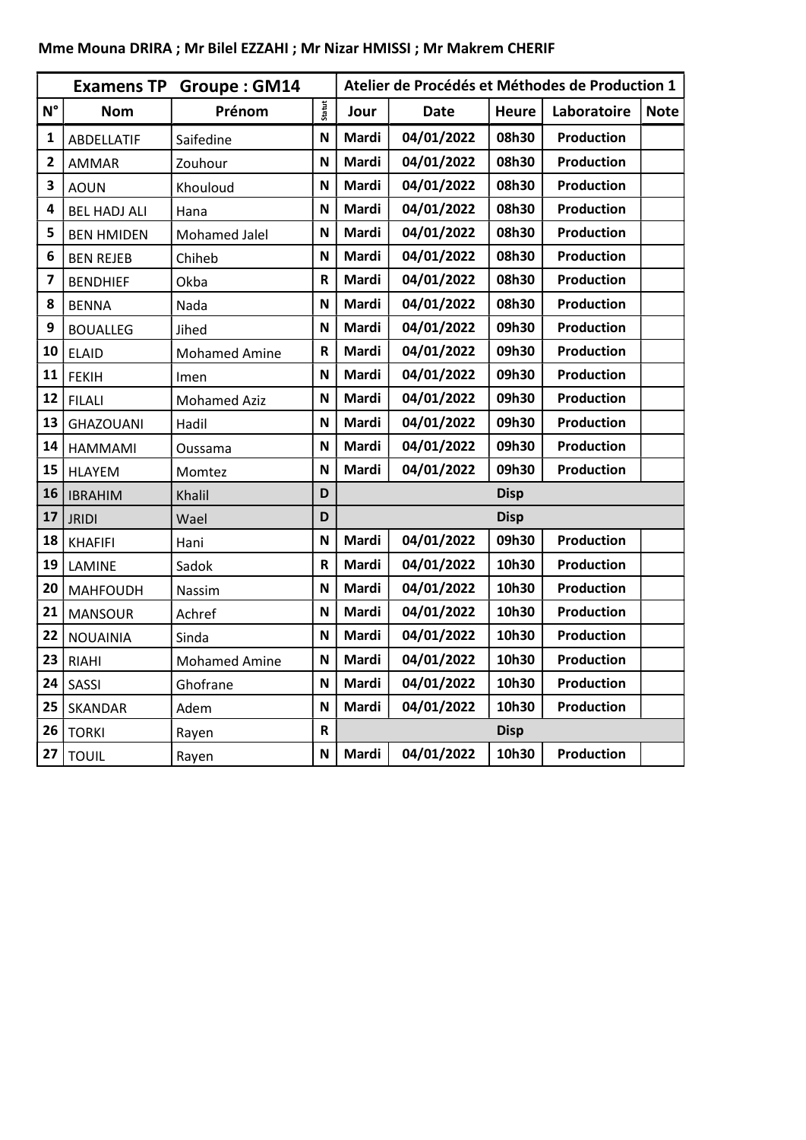|                         |                     | <b>Examens TP Groupe: GM14</b> |               |       | Atelier de Procédés et Méthodes de Production 1 |              |                   |             |
|-------------------------|---------------------|--------------------------------|---------------|-------|-------------------------------------------------|--------------|-------------------|-------------|
| $N^{\circ}$             | <b>Nom</b>          | Prénom                         | <b>Statut</b> | Jour  | <b>Date</b>                                     | <b>Heure</b> | Laboratoire       | <b>Note</b> |
| 1                       | ABDELLATIF          | Saifedine                      | N             | Mardi | 04/01/2022                                      | 08h30        | <b>Production</b> |             |
| $\overline{\mathbf{c}}$ | <b>AMMAR</b>        | Zouhour                        | N             | Mardi | 04/01/2022                                      | 08h30        | Production        |             |
| 3                       | <b>AOUN</b>         | Khouloud                       | N             | Mardi | 04/01/2022                                      | 08h30        | Production        |             |
| 4                       | <b>BEL HADJ ALI</b> | Hana                           | N             | Mardi | 04/01/2022                                      | 08h30        | <b>Production</b> |             |
| 5                       | <b>BEN HMIDEN</b>   | Mohamed Jalel                  | N             | Mardi | 04/01/2022                                      | 08h30        | <b>Production</b> |             |
| 6                       | <b>BEN REJEB</b>    | Chiheb                         | N             | Mardi | 04/01/2022                                      | 08h30        | <b>Production</b> |             |
| $\overline{\mathbf{z}}$ | <b>BENDHIEF</b>     | Okba                           | R             | Mardi | 04/01/2022                                      | 08h30        | <b>Production</b> |             |
| 8                       | <b>BENNA</b>        | Nada                           | N             | Mardi | 04/01/2022                                      | 08h30        | Production        |             |
| 9                       | <b>BOUALLEG</b>     | Jihed                          | N             | Mardi | 04/01/2022                                      | 09h30        | Production        |             |
| 10                      | <b>ELAID</b>        | <b>Mohamed Amine</b>           | $\mathsf R$   | Mardi | 04/01/2022                                      | 09h30        | <b>Production</b> |             |
| 11                      | <b>FEKIH</b>        | Imen                           | N             | Mardi | 04/01/2022                                      | 09h30        | Production        |             |
| 12                      | <b>FILALI</b>       | <b>Mohamed Aziz</b>            | N             | Mardi | 04/01/2022                                      | 09h30        | Production        |             |
| 13                      | <b>GHAZOUANI</b>    | Hadil                          | N             | Mardi | 04/01/2022                                      | 09h30        | Production        |             |
| 14                      | <b>HAMMAMI</b>      | Oussama                        | N             | Mardi | 04/01/2022                                      | 09h30        | Production        |             |
| 15                      | <b>HLAYEM</b>       | Momtez                         | N             | Mardi | 04/01/2022                                      | 09h30        | <b>Production</b> |             |
| 16                      | <b>IBRAHIM</b>      | Khalil                         | D             |       |                                                 | <b>Disp</b>  |                   |             |
| 17                      | <b>JRIDI</b>        | Wael                           | D             |       |                                                 | <b>Disp</b>  |                   |             |
| 18                      | <b>KHAFIFI</b>      | Hani                           | N             | Mardi | 04/01/2022                                      | 09h30        | Production        |             |
| 19                      | LAMINE              | Sadok                          | R             | Mardi | 04/01/2022                                      | 10h30        | <b>Production</b> |             |
| 20                      | <b>MAHFOUDH</b>     | Nassim                         | N             | Mardi | 04/01/2022                                      | 10h30        | Production        |             |
| 21                      | <b>MANSOUR</b>      | Achref                         | N             | Mardi | 04/01/2022                                      | 10h30        | <b>Production</b> |             |
| 22                      | <b>NOUAINIA</b>     | Sinda                          | N             | Mardi | 04/01/2022                                      | 10h30        | <b>Production</b> |             |
| 23                      | <b>RIAHI</b>        | <b>Mohamed Amine</b>           | N             | Mardi | 04/01/2022                                      | 10h30        | <b>Production</b> |             |
| 24                      | SASSI               | Ghofrane                       | N             | Mardi | 04/01/2022                                      | 10h30        | <b>Production</b> |             |
| 25                      | <b>SKANDAR</b>      | Adem                           | N             | Mardi | 04/01/2022                                      | 10h30        | <b>Production</b> |             |
| 26                      | <b>TORKI</b>        | Rayen                          | $\mathsf R$   |       |                                                 | <b>Disp</b>  |                   |             |
| 27                      | <b>TOUIL</b>        | Rayen                          | N             | Mardi | 04/01/2022                                      | 10h30        | <b>Production</b> |             |

# Mme Mouna DRIRA ; Mr Bilel EZZAHI ; Mr Nizar HMISSI ; Mr Makrem CHERIF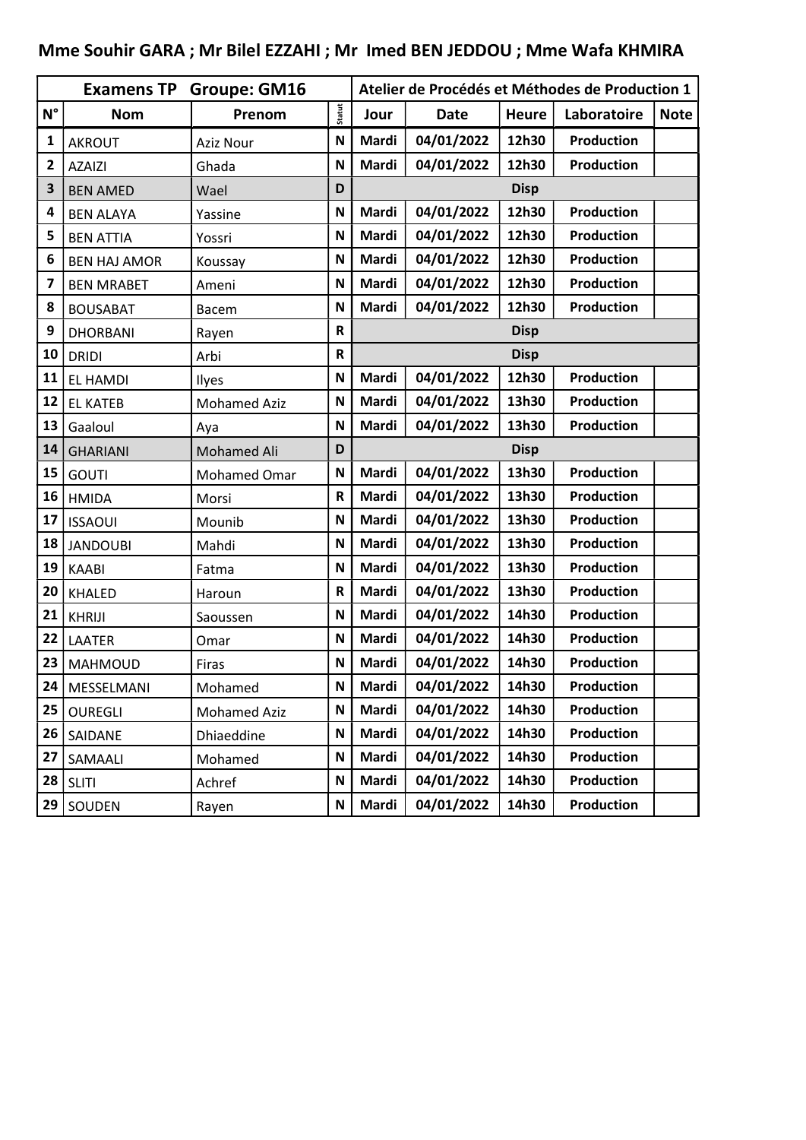|              | <b>Examens TP</b>   | <b>Groupe: GM16</b> |                           |       | Atelier de Procédés et Méthodes de Production 1 |              |                   |             |  |
|--------------|---------------------|---------------------|---------------------------|-------|-------------------------------------------------|--------------|-------------------|-------------|--|
| $N^{\circ}$  | <b>Nom</b>          | Prenom              | Statut                    | Jour  | <b>Date</b>                                     | <b>Heure</b> | Laboratoire       | <b>Note</b> |  |
| 1            | <b>AKROUT</b>       | <b>Aziz Nour</b>    | N                         | Mardi | 04/01/2022                                      | 12h30        | <b>Production</b> |             |  |
| $\mathbf{2}$ | <b>AZAIZI</b>       | Ghada               | N                         | Mardi | 04/01/2022                                      | 12h30        | Production        |             |  |
| 3            | <b>BEN AMED</b>     | Wael                | D                         |       |                                                 | <b>Disp</b>  |                   |             |  |
| 4            | <b>BEN ALAYA</b>    | Yassine             | N                         | Mardi | 04/01/2022                                      | 12h30        | Production        |             |  |
| 5            | <b>BEN ATTIA</b>    | Yossri              | N                         | Mardi | 04/01/2022                                      | 12h30        | <b>Production</b> |             |  |
| 6            | <b>BEN HAJ AMOR</b> | Koussay             | N                         | Mardi | 04/01/2022                                      | 12h30        | <b>Production</b> |             |  |
| 7            | <b>BEN MRABET</b>   | Ameni               | N                         | Mardi | 04/01/2022                                      | 12h30        | <b>Production</b> |             |  |
| 8            | <b>BOUSABAT</b>     | <b>Bacem</b>        | N                         | Mardi | 04/01/2022                                      | 12h30        | <b>Production</b> |             |  |
| 9            | <b>DHORBANI</b>     | Rayen               | R                         |       |                                                 | <b>Disp</b>  |                   |             |  |
| 10           | <b>DRIDI</b>        | Arbi                | R                         |       |                                                 | <b>Disp</b>  |                   |             |  |
| 11           | <b>EL HAMDI</b>     | Ilyes               | N                         | Mardi | 04/01/2022                                      | 12h30        | <b>Production</b> |             |  |
| 12           | <b>EL KATEB</b>     | <b>Mohamed Aziz</b> | N                         | Mardi | 04/01/2022                                      | 13h30        | <b>Production</b> |             |  |
| 13           | Gaaloul             | Aya                 | N                         | Mardi | 04/01/2022                                      | 13h30        | <b>Production</b> |             |  |
| 14           | <b>GHARIANI</b>     | <b>Mohamed Ali</b>  | D                         |       |                                                 | <b>Disp</b>  |                   |             |  |
| 15           | <b>GOUTI</b>        | <b>Mohamed Omar</b> | $\mathsf{N}$              | Mardi | 04/01/2022                                      | 13h30        | Production        |             |  |
| 16           | <b>HMIDA</b>        | Morsi               | $\mathsf R$               | Mardi | 04/01/2022                                      | 13h30        | <b>Production</b> |             |  |
| 17           | <b>ISSAOUI</b>      | Mounib              | $\mathsf{N}$              | Mardi | 04/01/2022                                      | 13h30        | <b>Production</b> |             |  |
| 18           | <b>JANDOUBI</b>     | Mahdi               | N                         | Mardi | 04/01/2022                                      | 13h30        | <b>Production</b> |             |  |
| 19           | <b>KAABI</b>        | Fatma               | N                         | Mardi | 04/01/2022                                      | 13h30        | <b>Production</b> |             |  |
| 20           | <b>KHALED</b>       | Haroun              | R                         | Mardi | 04/01/2022                                      | 13h30        | <b>Production</b> |             |  |
| 21           | <b>KHRIJI</b>       | Saoussen            | N                         | Mardi | 04/01/2022                                      | 14h30        | <b>Production</b> |             |  |
| 22           | <b>LAATER</b>       | Omar                | $\mathbf N$               | Mardi | 04/01/2022                                      | 14h30        | <b>Production</b> |             |  |
| 23           | <b>MAHMOUD</b>      | Firas               | N                         | Mardi | 04/01/2022                                      | 14h30        | Production        |             |  |
| 24           | MESSELMANI          | Mohamed             | N                         | Mardi | 04/01/2022                                      | 14h30        | <b>Production</b> |             |  |
| 25           | <b>OUREGLI</b>      | <b>Mohamed Aziz</b> | N                         | Mardi | 04/01/2022                                      | 14h30        | Production        |             |  |
| 26           | SAIDANE             | Dhiaeddine          | N                         | Mardi | 04/01/2022                                      | 14h30        | <b>Production</b> |             |  |
| 27           | SAMAALI             | Mohamed             | $\mathsf N$               | Mardi | 04/01/2022                                      | 14h30        | <b>Production</b> |             |  |
| 28           | <b>SLITI</b>        | Achref              | $\boldsymbol{\mathsf{N}}$ | Mardi | 04/01/2022                                      | 14h30        | <b>Production</b> |             |  |
| 29           | SOUDEN              | Rayen               | N                         | Mardi | 04/01/2022                                      | 14h30        | <b>Production</b> |             |  |

# Mme Souhir GARA ; Mr Bilel EZZAHI ; Mr Imed BEN JEDDOU ; Mme Wafa KHMIRA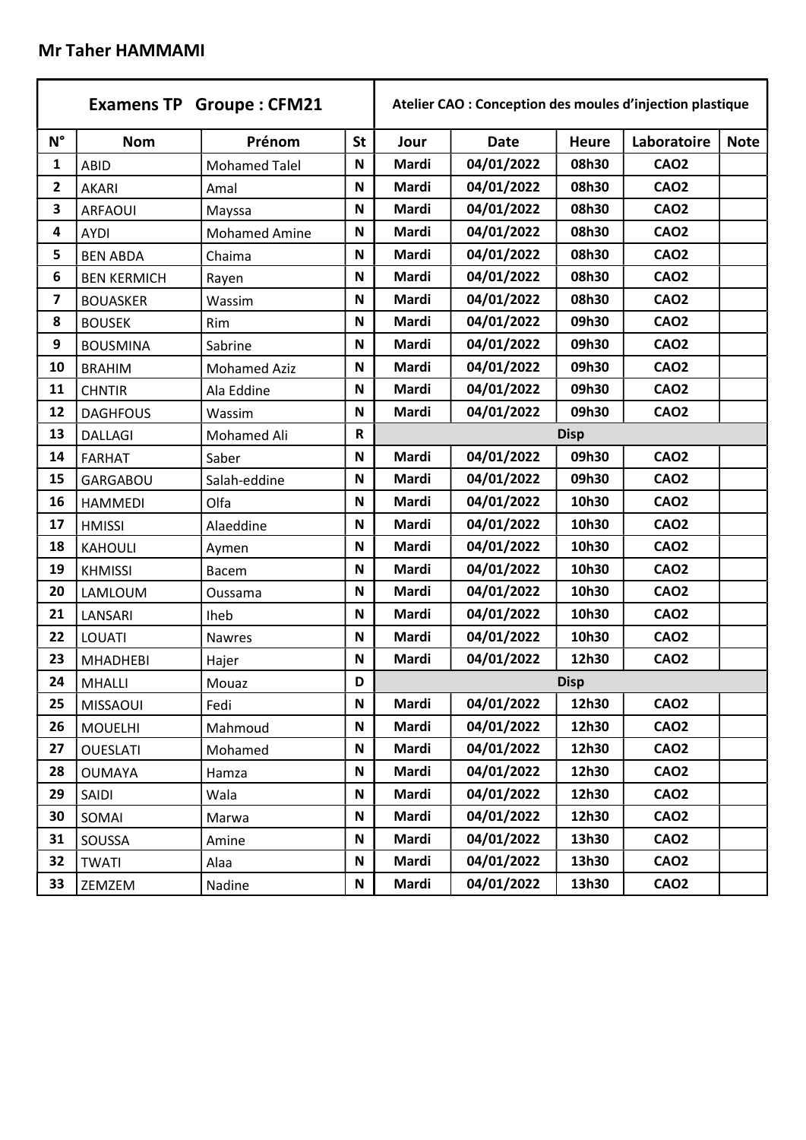#### Mr Taher HAMMAMI

|             | <b>Examens TP Groupe: CFM21</b> |                      |                           |       | Atelier CAO : Conception des moules d'injection plastique |              |             |             |
|-------------|---------------------------------|----------------------|---------------------------|-------|-----------------------------------------------------------|--------------|-------------|-------------|
| $N^{\circ}$ | <b>Nom</b>                      | Prénom               | <b>St</b>                 | Jour  | <b>Date</b>                                               | <b>Heure</b> | Laboratoire | <b>Note</b> |
| 1           | <b>ABID</b>                     | <b>Mohamed Talel</b> | N                         | Mardi | 04/01/2022                                                | 08h30        | <b>CAO2</b> |             |
| 2           | AKARI                           | Amal                 | N                         | Mardi | 04/01/2022                                                | 08h30        | <b>CAO2</b> |             |
| 3           | <b>ARFAOUI</b>                  | Mayssa               | N                         | Mardi | 04/01/2022                                                | 08h30        | <b>CAO2</b> |             |
| 4           | <b>AYDI</b>                     | <b>Mohamed Amine</b> | $\mathbf N$               | Mardi | 04/01/2022                                                | 08h30        | <b>CAO2</b> |             |
| 5           | <b>BEN ABDA</b>                 | Chaima               | $\mathsf N$               | Mardi | 04/01/2022                                                | 08h30        | <b>CAO2</b> |             |
| 6           | <b>BEN KERMICH</b>              | Rayen                | N                         | Mardi | 04/01/2022                                                | 08h30        | <b>CAO2</b> |             |
| 7           | <b>BOUASKER</b>                 | Wassim               | N                         | Mardi | 04/01/2022                                                | 08h30        | <b>CAO2</b> |             |
| 8           | <b>BOUSEK</b>                   | Rim                  | N                         | Mardi | 04/01/2022                                                | 09h30        | <b>CAO2</b> |             |
| 9           | <b>BOUSMINA</b>                 | Sabrine              | N                         | Mardi | 04/01/2022                                                | 09h30        | <b>CAO2</b> |             |
| 10          | <b>BRAHIM</b>                   | <b>Mohamed Aziz</b>  | ${\sf N}$                 | Mardi | 04/01/2022                                                | 09h30        | <b>CAO2</b> |             |
| 11          | <b>CHNTIR</b>                   | Ala Eddine           | $\mathbf N$               | Mardi | 04/01/2022                                                | 09h30        | <b>CAO2</b> |             |
| 12          | <b>DAGHFOUS</b>                 | Wassim               | N                         | Mardi | 04/01/2022                                                | 09h30        | <b>CAO2</b> |             |
| 13          | <b>DALLAGI</b>                  | Mohamed Ali          | $\mathsf R$               |       |                                                           | <b>Disp</b>  |             |             |
| 14          | <b>FARHAT</b>                   | Saber                | N                         | Mardi | 04/01/2022                                                | 09h30        | <b>CAO2</b> |             |
| 15          | GARGABOU                        | Salah-eddine         | N                         | Mardi | 04/01/2022                                                | 09h30        | <b>CAO2</b> |             |
| 16          | <b>HAMMEDI</b>                  | Olfa                 | N                         | Mardi | 04/01/2022                                                | 10h30        | <b>CAO2</b> |             |
| 17          | <b>HMISSI</b>                   | Alaeddine            | $\mathbf N$               | Mardi | 04/01/2022                                                | 10h30        | <b>CAO2</b> |             |
| 18          | <b>KAHOULI</b>                  | Aymen                | $\mathsf N$               | Mardi | 04/01/2022                                                | 10h30        | <b>CAO2</b> |             |
| 19          | <b>KHMISSI</b>                  | Bacem                | N                         | Mardi | 04/01/2022                                                | 10h30        | <b>CAO2</b> |             |
| 20          | LAMLOUM                         | Oussama              | N                         | Mardi | 04/01/2022                                                | 10h30        | <b>CAO2</b> |             |
| 21          | LANSARI                         | Iheb                 | N                         | Mardi | 04/01/2022                                                | 10h30        | <b>CAO2</b> |             |
| 22          | LOUATI                          | <b>Nawres</b>        | N                         | Mardi | 04/01/2022                                                | 10h30        | <b>CAO2</b> |             |
| 23          | <b>MHADHEBI</b>                 | Hajer                | N                         | Mardi | 04/01/2022                                                | 12h30        | <b>CAO2</b> |             |
| 24          | <b>MHALLI</b>                   | Mouaz                | D                         |       |                                                           | <b>Disp</b>  |             |             |
| 25          | <b>MISSAOUI</b>                 | Fedi                 | $\mathsf{N}$              | Mardi | 04/01/2022                                                | 12h30        | <b>CAO2</b> |             |
| 26          | <b>MOUELHI</b>                  | Mahmoud              | $\boldsymbol{\mathsf{N}}$ | Mardi | 04/01/2022                                                | 12h30        | <b>CAO2</b> |             |
| 27          | <b>OUESLATI</b>                 | Mohamed              | N                         | Mardi | 04/01/2022                                                | 12h30        | <b>CAO2</b> |             |
| 28          | <b>OUMAYA</b>                   | Hamza                | N                         | Mardi | 04/01/2022                                                | 12h30        | <b>CAO2</b> |             |
| 29          | SAIDI                           | Wala                 | N                         | Mardi | 04/01/2022                                                | 12h30        | <b>CAO2</b> |             |
| 30          | SOMAI                           | Marwa                | $\mathsf N$               | Mardi | 04/01/2022                                                | 12h30        | <b>CAO2</b> |             |
| 31          | SOUSSA                          | Amine                | $\boldsymbol{\mathsf{N}}$ | Mardi | 04/01/2022                                                | 13h30        | <b>CAO2</b> |             |
| 32          | <b>TWATI</b>                    | Alaa                 | N                         | Mardi | 04/01/2022                                                | 13h30        | <b>CAO2</b> |             |
| 33          | ZEMZEM                          | Nadine               | N                         | Mardi | 04/01/2022                                                | 13h30        | <b>CAO2</b> |             |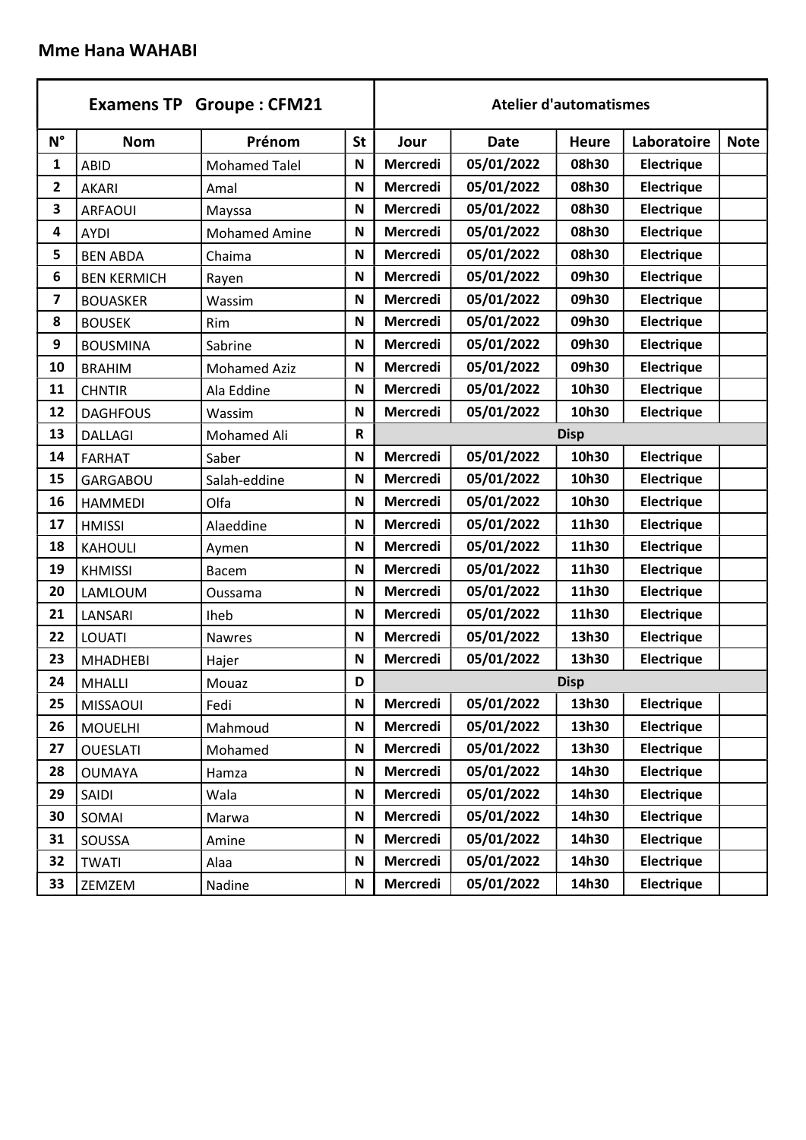### Mme Hana WAHABI

|                         |                    | <b>Examens TP Groupe: CFM21</b> |             |                 |             | <b>Atelier d'automatismes</b> |                   |             |
|-------------------------|--------------------|---------------------------------|-------------|-----------------|-------------|-------------------------------|-------------------|-------------|
| $N^{\circ}$             | <b>Nom</b>         | Prénom                          | <b>St</b>   | Jour            | <b>Date</b> | <b>Heure</b>                  | Laboratoire       | <b>Note</b> |
| 1                       | <b>ABID</b>        | <b>Mohamed Talel</b>            | N           | Mercredi        | 05/01/2022  | 08h30                         | <b>Electrique</b> |             |
| $\overline{\mathbf{2}}$ | <b>AKARI</b>       | Amal                            | N           | <b>Mercredi</b> | 05/01/2022  | 08h30                         | <b>Electrique</b> |             |
| 3                       | <b>ARFAOUI</b>     | Mayssa                          | N           | <b>Mercredi</b> | 05/01/2022  | 08h30                         | <b>Electrique</b> |             |
| 4                       | <b>AYDI</b>        | <b>Mohamed Amine</b>            | $\mathbf N$ | <b>Mercredi</b> | 05/01/2022  | 08h30                         | <b>Electrique</b> |             |
| 5                       | <b>BEN ABDA</b>    | Chaima                          | N           | Mercredi        | 05/01/2022  | 08h30                         | <b>Electrique</b> |             |
| 6                       | <b>BEN KERMICH</b> | Rayen                           | $\mathbf N$ | Mercredi        | 05/01/2022  | 09h30                         | Electrique        |             |
| $\overline{\mathbf{z}}$ | <b>BOUASKER</b>    | Wassim                          | N           | Mercredi        | 05/01/2022  | 09h30                         | Electrique        |             |
| 8                       | <b>BOUSEK</b>      | Rim                             | N           | Mercredi        | 05/01/2022  | 09h30                         | <b>Electrique</b> |             |
| 9                       | <b>BOUSMINA</b>    | Sabrine                         | N           | Mercredi        | 05/01/2022  | 09h30                         | Electrique        |             |
| 10                      | <b>BRAHIM</b>      | <b>Mohamed Aziz</b>             | N           | Mercredi        | 05/01/2022  | 09h30                         | <b>Electrique</b> |             |
| 11                      | <b>CHNTIR</b>      | Ala Eddine                      | N           | <b>Mercredi</b> | 05/01/2022  | 10h30                         | <b>Electrique</b> |             |
| 12                      | <b>DAGHFOUS</b>    | Wassim                          | $\mathbf N$ | <b>Mercredi</b> | 05/01/2022  | 10h30                         | Electrique        |             |
| 13                      | <b>DALLAGI</b>     | Mohamed Ali                     | $\mathsf R$ |                 |             | <b>Disp</b>                   |                   |             |
| 14                      | <b>FARHAT</b>      | Saber                           | N           | Mercredi        | 05/01/2022  | 10h30                         | Electrique        |             |
| 15                      | <b>GARGABOU</b>    | Salah-eddine                    | N           | Mercredi        | 05/01/2022  | 10h30                         | <b>Electrique</b> |             |
| 16                      | <b>HAMMEDI</b>     | Olfa                            | N           | Mercredi        | 05/01/2022  | 10h30                         | Electrique        |             |
| 17                      | <b>HMISSI</b>      | Alaeddine                       | $\mathbf N$ | Mercredi        | 05/01/2022  | 11h30                         | <b>Electrique</b> |             |
| 18                      | <b>KAHOULI</b>     | Aymen                           | N           | Mercredi        | 05/01/2022  | 11h30                         | Electrique        |             |
| 19                      | <b>KHMISSI</b>     | <b>Bacem</b>                    | $\mathbf N$ | <b>Mercredi</b> | 05/01/2022  | 11h30                         | <b>Electrique</b> |             |
| 20                      | LAMLOUM            | Oussama                         | N           | Mercredi        | 05/01/2022  | 11h30                         | <b>Electrique</b> |             |
| 21                      | LANSARI            | Iheb                            | $\mathbf N$ | <b>Mercredi</b> | 05/01/2022  | 11h30                         | Electrique        |             |
| 22                      | LOUATI             | <b>Nawres</b>                   | N           | Mercredi        | 05/01/2022  | 13h30                         | <b>Electrique</b> |             |
| 23                      | <b>MHADHEBI</b>    | Hajer                           | N           | Mercredi        | 05/01/2022  | 13h30                         | <b>Electrique</b> |             |
| 24                      | <b>MHALLI</b>      | Mouaz                           | D           |                 |             | <b>Disp</b>                   |                   |             |
| 25                      | <b>MISSAOUI</b>    | Fedi                            | $\mathbf N$ | Mercredi        | 05/01/2022  | 13h30                         | Electrique        |             |
| 26                      | <b>MOUELHI</b>     | Mahmoud                         | N           | <b>Mercredi</b> | 05/01/2022  | 13h30                         | <b>Electrique</b> |             |
| 27                      | <b>OUESLATI</b>    | Mohamed                         | N           | Mercredi        | 05/01/2022  | 13h30                         | Electrique        |             |
| 28                      | <b>OUMAYA</b>      | Hamza                           | N           | Mercredi        | 05/01/2022  | 14h30                         | <b>Electrique</b> |             |
| 29                      | SAIDI              | Wala                            | N           | Mercredi        | 05/01/2022  | 14h30                         | <b>Electrique</b> |             |
| 30                      | SOMAI              | Marwa                           | $\mathbf N$ | Mercredi        | 05/01/2022  | 14h30                         | <b>Electrique</b> |             |
| 31                      | SOUSSA             | Amine                           | ${\sf N}$   | Mercredi        | 05/01/2022  | 14h30                         | <b>Electrique</b> |             |
| 32                      | <b>TWATI</b>       | Alaa                            | N           | Mercredi        | 05/01/2022  | 14h30                         | <b>Electrique</b> |             |
| 33                      | ZEMZEM             | Nadine                          | N           | <b>Mercredi</b> | 05/01/2022  | 14h30                         | <b>Electrique</b> |             |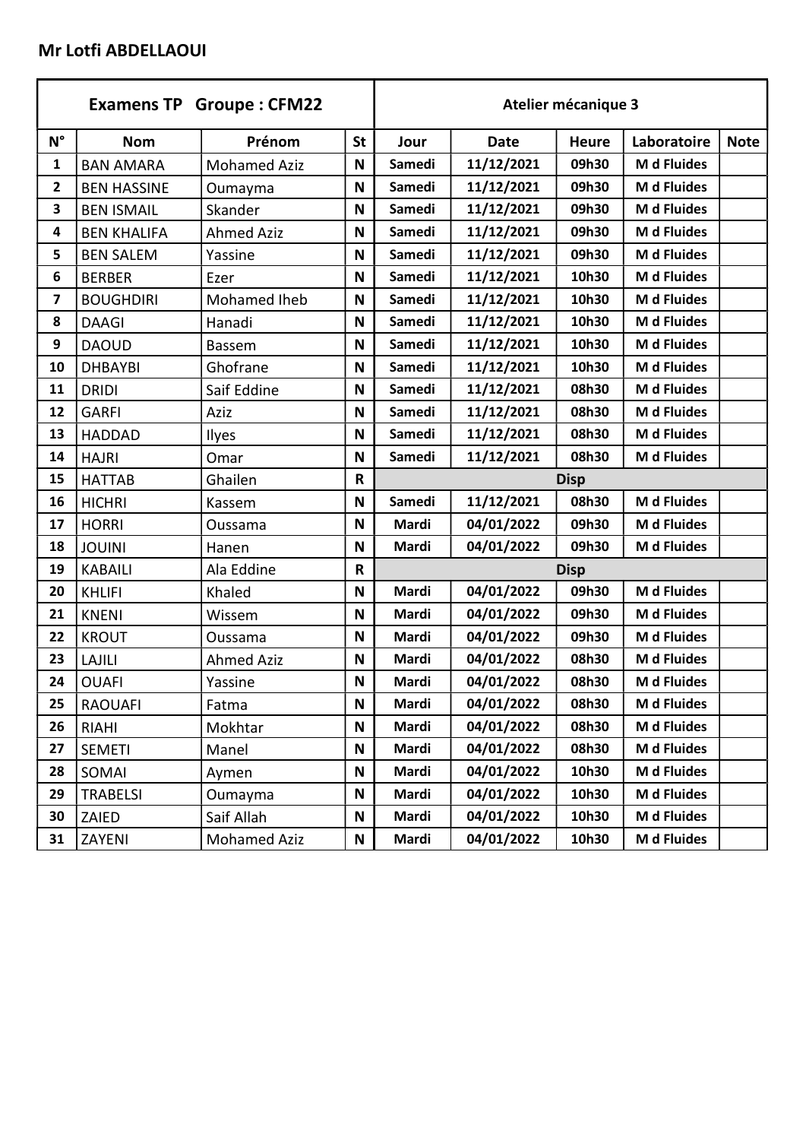### Mr Lotfi ABDELLAOUI

|                         |                    | <b>Examens TP Groupe: CFM22</b> |              |               |             | Atelier mécanique 3 |             |             |  |  |
|-------------------------|--------------------|---------------------------------|--------------|---------------|-------------|---------------------|-------------|-------------|--|--|
| $N^{\circ}$             | <b>Nom</b>         | Prénom                          | <b>St</b>    | Jour          | <b>Date</b> | <b>Heure</b>        | Laboratoire | <b>Note</b> |  |  |
| $\mathbf{1}$            | <b>BAN AMARA</b>   | <b>Mohamed Aziz</b>             | N            | <b>Samedi</b> | 11/12/2021  | 09h30               | M d Fluides |             |  |  |
| 2                       | <b>BEN HASSINE</b> | Oumayma                         | N            | Samedi        | 11/12/2021  | 09h30               | M d Fluides |             |  |  |
| 3                       | <b>BEN ISMAIL</b>  | Skander                         | N            | Samedi        | 11/12/2021  | 09h30               | M d Fluides |             |  |  |
| 4                       | <b>BEN KHALIFA</b> | <b>Ahmed Aziz</b>               | N            | <b>Samedi</b> | 11/12/2021  | 09h30               | M d Fluides |             |  |  |
| 5                       | <b>BEN SALEM</b>   | Yassine                         | N            | Samedi        | 11/12/2021  | 09h30               | M d Fluides |             |  |  |
| 6                       | <b>BERBER</b>      | Ezer                            | N            | Samedi        | 11/12/2021  | 10h30               | M d Fluides |             |  |  |
| $\overline{\mathbf{z}}$ | <b>BOUGHDIRI</b>   | Mohamed Iheb                    | N            | Samedi        | 11/12/2021  | 10h30               | M d Fluides |             |  |  |
| 8                       | <b>DAAGI</b>       | Hanadi                          | N            | Samedi        | 11/12/2021  | 10h30               | M d Fluides |             |  |  |
| 9                       | <b>DAOUD</b>       | Bassem                          | N            | Samedi        | 11/12/2021  | 10h30               | M d Fluides |             |  |  |
| 10                      | <b>DHBAYBI</b>     | Ghofrane                        | N            | Samedi        | 11/12/2021  | 10h30               | M d Fluides |             |  |  |
| 11                      | <b>DRIDI</b>       | Saif Eddine                     | N            | Samedi        | 11/12/2021  | 08h30               | M d Fluides |             |  |  |
| 12                      | <b>GARFI</b>       | Aziz                            | N            | Samedi        | 11/12/2021  | 08h30               | M d Fluides |             |  |  |
| 13                      | <b>HADDAD</b>      | Ilyes                           | N            | Samedi        | 11/12/2021  | 08h30               | M d Fluides |             |  |  |
| 14                      | <b>HAJRI</b>       | Omar                            | N            | Samedi        | 11/12/2021  | 08h30               | M d Fluides |             |  |  |
| 15                      | <b>HATTAB</b>      | Ghailen                         | $\mathsf{R}$ |               | <b>Disp</b> |                     |             |             |  |  |
| 16                      | <b>HICHRI</b>      | Kassem                          | N            | Samedi        | 11/12/2021  | 08h30               | M d Fluides |             |  |  |
| 17                      | <b>HORRI</b>       | Oussama                         | N            | Mardi         | 04/01/2022  | 09h30               | M d Fluides |             |  |  |
| 18                      | <b>JOUINI</b>      | Hanen                           | N            | Mardi         | 04/01/2022  | 09h30               | M d Fluides |             |  |  |
| 19                      | <b>KABAILI</b>     | Ala Eddine                      | $\mathsf R$  |               |             | <b>Disp</b>         |             |             |  |  |
| 20                      | <b>KHLIFI</b>      | Khaled                          | N            | Mardi         | 04/01/2022  | 09h30               | M d Fluides |             |  |  |
| 21                      | <b>KNENI</b>       | Wissem                          | N            | Mardi         | 04/01/2022  | 09h30               | M d Fluides |             |  |  |
| 22                      | <b>KROUT</b>       | Oussama                         | N            | Mardi         | 04/01/2022  | 09h30               | M d Fluides |             |  |  |
| 23                      | LAJILI             | <b>Ahmed Aziz</b>               | N            | Mardi         | 04/01/2022  | 08h30               | M d Fluides |             |  |  |
| 24                      | <b>OUAFI</b>       | Yassine                         | N            | Mardi         | 04/01/2022  | 08h30               | M d Fluides |             |  |  |
| 25                      | <b>RAOUAFI</b>     | Fatma                           | N            | Mardi         | 04/01/2022  | 08h30               | M d Fluides |             |  |  |
| 26                      | <b>RIAHI</b>       | Mokhtar                         | $\mathsf N$  | Mardi         | 04/01/2022  | 08h30               | M d Fluides |             |  |  |
| 27                      | <b>SEMETI</b>      | Manel                           | N            | Mardi         | 04/01/2022  | 08h30               | M d Fluides |             |  |  |
| 28                      | SOMAI              | Aymen                           | N            | Mardi         | 04/01/2022  | 10h30               | M d Fluides |             |  |  |
| 29                      | <b>TRABELSI</b>    | Oumayma                         | N            | Mardi         | 04/01/2022  | 10h30               | M d Fluides |             |  |  |
| 30                      | ZAIED              | Saif Allah                      | N            | Mardi         | 04/01/2022  | 10h30               | M d Fluides |             |  |  |
| 31                      | ZAYENI             | <b>Mohamed Aziz</b>             | N            | Mardi         | 04/01/2022  | 10h30               | M d Fluides |             |  |  |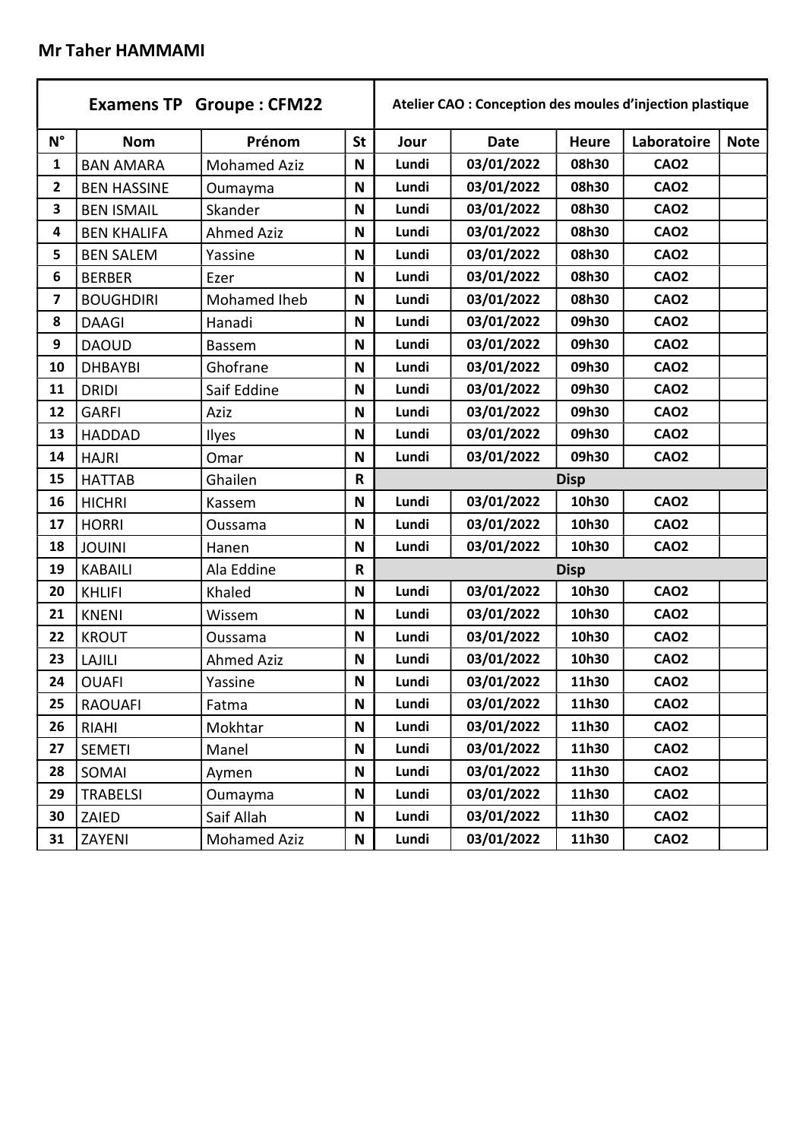#### Mr Taher HAMMAMI

|                         |                    | <b>Examens TP Groupe: CFM22</b> |             |       | Atelier CAO : Conception des moules d'injection plastique |              |             |             |  |  |
|-------------------------|--------------------|---------------------------------|-------------|-------|-----------------------------------------------------------|--------------|-------------|-------------|--|--|
| $N^{\circ}$             | <b>Nom</b>         | Prénom                          | <b>St</b>   | Jour  | <b>Date</b>                                               | <b>Heure</b> | Laboratoire | <b>Note</b> |  |  |
| $\mathbf{1}$            | <b>BAN AMARA</b>   | <b>Mohamed Aziz</b>             | N           | Lundi | 03/01/2022                                                | 08h30        | <b>CAO2</b> |             |  |  |
| $\mathbf{2}$            | <b>BEN HASSINE</b> | Oumayma                         | N           | Lundi | 03/01/2022                                                | 08h30        | <b>CAO2</b> |             |  |  |
| 3                       | <b>BEN ISMAIL</b>  | Skander                         | N           | Lundi | 03/01/2022                                                | 08h30        | <b>CAO2</b> |             |  |  |
| 4                       | <b>BEN KHALIFA</b> | <b>Ahmed Aziz</b>               | N           | Lundi | 03/01/2022                                                | 08h30        | <b>CAO2</b> |             |  |  |
| 5                       | <b>BEN SALEM</b>   | Yassine                         | N           | Lundi | 03/01/2022                                                | 08h30        | <b>CAO2</b> |             |  |  |
| 6                       | <b>BERBER</b>      | Ezer                            | N           | Lundi | 03/01/2022                                                | 08h30        | <b>CAO2</b> |             |  |  |
| $\overline{\mathbf{z}}$ | <b>BOUGHDIRI</b>   | Mohamed Iheb                    | N           | Lundi | 03/01/2022                                                | 08h30        | <b>CAO2</b> |             |  |  |
| 8                       | <b>DAAGI</b>       | Hanadi                          | N           | Lundi | 03/01/2022                                                | 09h30        | <b>CAO2</b> |             |  |  |
| 9                       | <b>DAOUD</b>       | Bassem                          | N           | Lundi | 03/01/2022                                                | 09h30        | <b>CAO2</b> |             |  |  |
| 10                      | <b>DHBAYBI</b>     | Ghofrane                        | N           | Lundi | 03/01/2022                                                | 09h30        | <b>CAO2</b> |             |  |  |
| 11                      | <b>DRIDI</b>       | Saif Eddine                     | N           | Lundi | 03/01/2022                                                | 09h30        | <b>CAO2</b> |             |  |  |
| 12                      | <b>GARFI</b>       | Aziz                            | N           | Lundi | 03/01/2022                                                | 09h30        | <b>CAO2</b> |             |  |  |
| 13                      | <b>HADDAD</b>      | Ilyes                           | N           | Lundi | 03/01/2022                                                | 09h30        | <b>CAO2</b> |             |  |  |
| 14                      | <b>HAJRI</b>       | Omar                            | N           | Lundi | 03/01/2022                                                | 09h30        | <b>CAO2</b> |             |  |  |
| 15                      | <b>HATTAB</b>      | Ghailen                         | $\mathsf R$ |       | <b>Disp</b>                                               |              |             |             |  |  |
| 16                      | <b>HICHRI</b>      | Kassem                          | N           | Lundi | 03/01/2022                                                | 10h30        | <b>CAO2</b> |             |  |  |
| 17                      | <b>HORRI</b>       | Oussama                         | N           | Lundi | 03/01/2022                                                | 10h30        | <b>CAO2</b> |             |  |  |
| 18                      | <b>JOUINI</b>      | Hanen                           | N           | Lundi | 03/01/2022                                                | 10h30        | <b>CAO2</b> |             |  |  |
| 19                      | <b>KABAILI</b>     | Ala Eddine                      | R           |       |                                                           | <b>Disp</b>  |             |             |  |  |
| 20                      | <b>KHLIFI</b>      | Khaled                          | N           | Lundi | 03/01/2022                                                | 10h30        | <b>CAO2</b> |             |  |  |
| 21                      | <b>KNENI</b>       | Wissem                          | N           | Lundi | 03/01/2022                                                | 10h30        | <b>CAO2</b> |             |  |  |
| 22                      | <b>KROUT</b>       | Oussama                         | N           | Lundi | 03/01/2022                                                | 10h30        | <b>CAO2</b> |             |  |  |
| 23                      | LAJILI             | <b>Ahmed Aziz</b>               | N           | Lundi | 03/01/2022                                                | 10h30        | <b>CAO2</b> |             |  |  |
| 24                      | <b>OUAFI</b>       | Yassine                         | N           | Lundi | 03/01/2022                                                | 11h30        | <b>CAO2</b> |             |  |  |
| 25                      | <b>RAOUAFI</b>     | Fatma                           | N           | Lundi | 03/01/2022                                                | 11h30        | <b>CAO2</b> |             |  |  |
| 26                      | <b>RIAHI</b>       | Mokhtar                         | N           | Lundi | 03/01/2022                                                | 11h30        | <b>CAO2</b> |             |  |  |
| 27                      | <b>SEMETI</b>      | Manel                           | N           | Lundi | 03/01/2022                                                | 11h30        | <b>CAO2</b> |             |  |  |
| 28                      | SOMAI              | Aymen                           | N           | Lundi | 03/01/2022                                                | 11h30        | <b>CAO2</b> |             |  |  |
| 29                      | <b>TRABELSI</b>    | Oumayma                         | N           | Lundi | 03/01/2022                                                | 11h30        | <b>CAO2</b> |             |  |  |
| 30                      | ZAIED              | Saif Allah                      | N           | Lundi | 03/01/2022                                                | 11h30        | <b>CAO2</b> |             |  |  |
| 31                      | ZAYENI             | <b>Mohamed Aziz</b>             | Ν           | Lundi | 03/01/2022                                                | 11h30        | <b>CAO2</b> |             |  |  |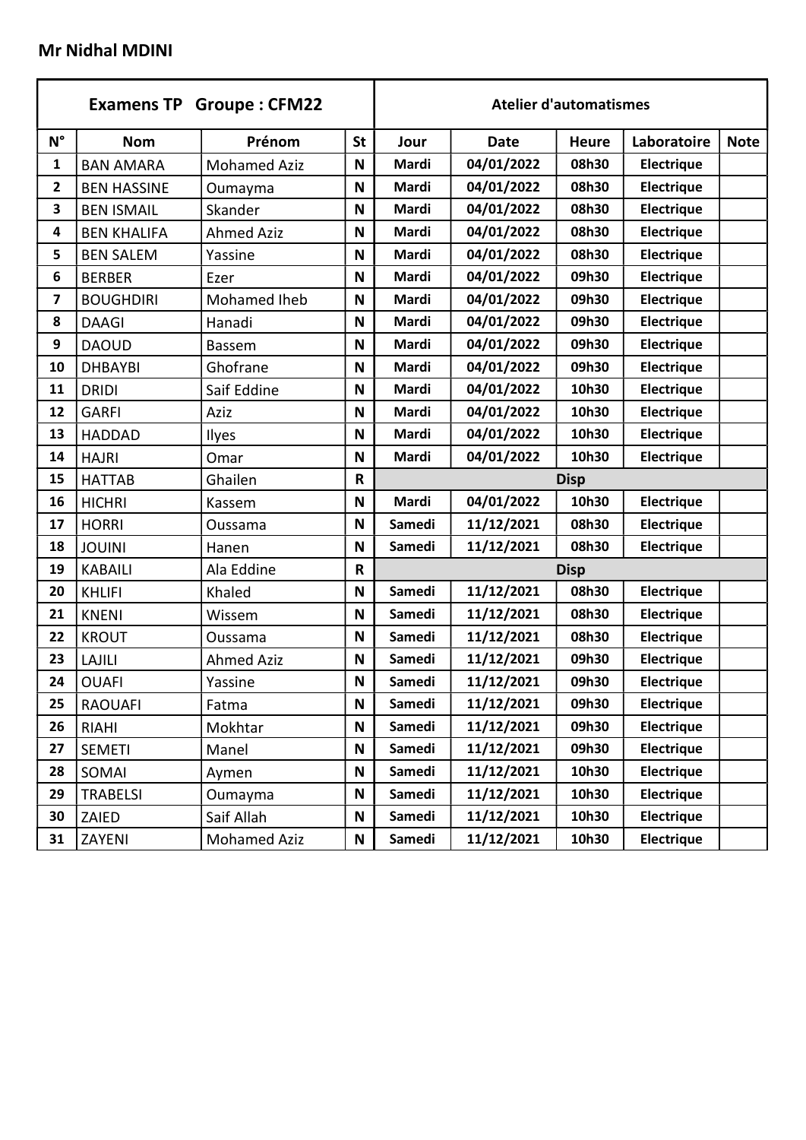# Mr Nidhal MDINI

|                         |                    | <b>Examens TP Groupe: CFM22</b> |              |               |             | <b>Atelier d'automatismes</b> |                   |             |  |
|-------------------------|--------------------|---------------------------------|--------------|---------------|-------------|-------------------------------|-------------------|-------------|--|
| $N^{\circ}$             | <b>Nom</b>         | Prénom                          | <b>St</b>    | Jour          | <b>Date</b> | <b>Heure</b>                  | Laboratoire       | <b>Note</b> |  |
| 1                       | <b>BAN AMARA</b>   | <b>Mohamed Aziz</b>             | N            | Mardi         | 04/01/2022  | 08h30                         | Electrique        |             |  |
| $\mathbf{2}$            | <b>BEN HASSINE</b> | Oumayma                         | N            | Mardi         | 04/01/2022  | 08h30                         | Electrique        |             |  |
| 3                       | <b>BEN ISMAIL</b>  | Skander                         | N            | Mardi         | 04/01/2022  | 08h30                         | Electrique        |             |  |
| 4                       | <b>BEN KHALIFA</b> | <b>Ahmed Aziz</b>               | N            | Mardi         | 04/01/2022  | 08h30                         | <b>Electrique</b> |             |  |
| 5                       | <b>BEN SALEM</b>   | Yassine                         | N            | Mardi         | 04/01/2022  | 08h30                         | <b>Electrique</b> |             |  |
| 6                       | <b>BERBER</b>      | Ezer                            | N            | Mardi         | 04/01/2022  | 09h30                         | <b>Electrique</b> |             |  |
| $\overline{\mathbf{z}}$ | <b>BOUGHDIRI</b>   | Mohamed Iheb                    | N            | Mardi         | 04/01/2022  | 09h30                         | <b>Electrique</b> |             |  |
| 8                       | <b>DAAGI</b>       | Hanadi                          | N            | Mardi         | 04/01/2022  | 09h30                         | <b>Electrique</b> |             |  |
| 9                       | <b>DAOUD</b>       | Bassem                          | N            | Mardi         | 04/01/2022  | 09h30                         | <b>Electrique</b> |             |  |
| 10                      | <b>DHBAYBI</b>     | Ghofrane                        | N            | Mardi         | 04/01/2022  | 09h30                         | <b>Electrique</b> |             |  |
| 11                      | <b>DRIDI</b>       | Saif Eddine                     | N            | Mardi         | 04/01/2022  | 10h30                         | <b>Electrique</b> |             |  |
| 12                      | <b>GARFI</b>       | Aziz                            | N            | Mardi         | 04/01/2022  | 10h30                         | Electrique        |             |  |
| 13                      | <b>HADDAD</b>      | Ilyes                           | N            | Mardi         | 04/01/2022  | 10h30                         | <b>Electrique</b> |             |  |
| 14                      | <b>HAJRI</b>       | Omar                            | N            | Mardi         | 04/01/2022  | 10h30                         | <b>Electrique</b> |             |  |
| 15                      | <b>HATTAB</b>      | Ghailen                         | $\mathsf R$  | <b>Disp</b>   |             |                               |                   |             |  |
| 16                      | <b>HICHRI</b>      | Kassem                          | N            | Mardi         | 04/01/2022  | 10h30                         | Electrique        |             |  |
| 17                      | <b>HORRI</b>       | Oussama                         | N            | Samedi        | 11/12/2021  | 08h30                         | Electrique        |             |  |
| 18                      | <b>JOUINI</b>      | Hanen                           | N            | Samedi        | 11/12/2021  | 08h30                         | Electrique        |             |  |
| 19                      | <b>KABAILI</b>     | Ala Eddine                      | $\mathsf{R}$ |               |             | <b>Disp</b>                   |                   |             |  |
| 20                      | <b>KHLIFI</b>      | Khaled                          | N            | Samedi        | 11/12/2021  | 08h30                         | Electrique        |             |  |
| 21                      | <b>KNENI</b>       | Wissem                          | N            | Samedi        | 11/12/2021  | 08h30                         | <b>Electrique</b> |             |  |
| 22                      | <b>KROUT</b>       | Oussama                         | N            | Samedi        | 11/12/2021  | 08h30                         | Electrique        |             |  |
| 23                      | <b>LAJILI</b>      | <b>Ahmed Aziz</b>               | N            | <b>Samedi</b> | 11/12/2021  | 09h30                         | Electrique        |             |  |
| 24                      | <b>OUAFI</b>       | Yassine                         | N            | Samedi        | 11/12/2021  | 09h30                         | Electrique        |             |  |
| 25                      | <b>RAOUAFI</b>     | Fatma                           | N            | Samedi        | 11/12/2021  | 09h30                         | Electrique        |             |  |
| 26                      | <b>RIAHI</b>       | Mokhtar                         | N            | Samedi        | 11/12/2021  | 09h30                         | <b>Electrique</b> |             |  |
| 27                      | <b>SEMETI</b>      | Manel                           | N            | Samedi        | 11/12/2021  | 09h30                         | <b>Electrique</b> |             |  |
| 28                      | SOMAI              | Aymen                           | N            | Samedi        | 11/12/2021  | 10h30                         | Electrique        |             |  |
| 29                      | <b>TRABELSI</b>    | Oumayma                         | N            | Samedi        | 11/12/2021  | 10h30                         | Electrique        |             |  |
| 30                      | ZAIED              | Saif Allah                      | N            | Samedi        | 11/12/2021  | 10h30                         | Electrique        |             |  |
| 31                      | ZAYENI             | <b>Mohamed Aziz</b>             | Ν            | Samedi        | 11/12/2021  | 10h30                         | Electrique        |             |  |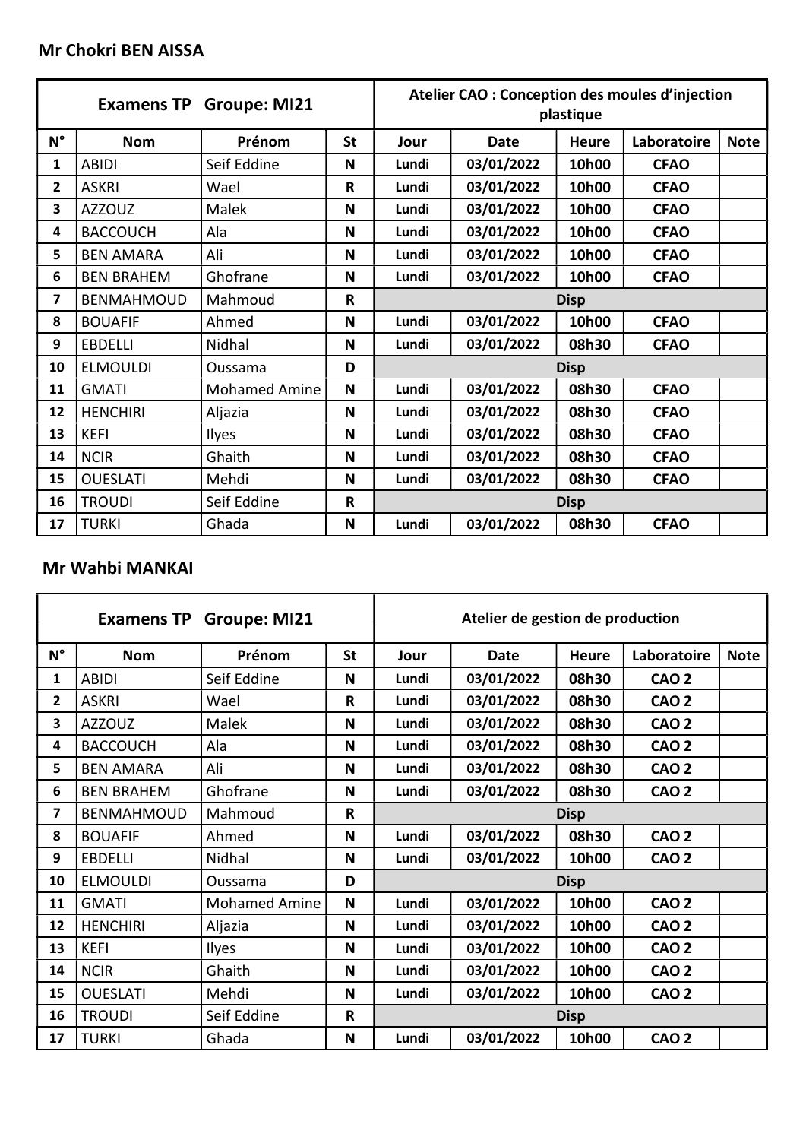|              | <b>Examens TP</b> | <b>Groupe: MI21</b>  |              |             | Atelier CAO : Conception des moules d'injection | plastique    |             |             |  |
|--------------|-------------------|----------------------|--------------|-------------|-------------------------------------------------|--------------|-------------|-------------|--|
| $N^{\circ}$  | <b>Nom</b>        | Prénom               | <b>St</b>    | Jour        | <b>Date</b>                                     | <b>Heure</b> | Laboratoire | <b>Note</b> |  |
| 1            | <b>ABIDI</b>      | Seif Eddine          | N            | Lundi       | 03/01/2022                                      | 10h00        | <b>CFAO</b> |             |  |
| $\mathbf{2}$ | <b>ASKRI</b>      | Wael                 | $\mathsf{R}$ | Lundi       | 03/01/2022                                      | 10h00        | <b>CFAO</b> |             |  |
| 3            | <b>AZZOUZ</b>     | Malek                | N            | Lundi       | 03/01/2022                                      | 10h00        | <b>CFAO</b> |             |  |
| 4            | <b>BACCOUCH</b>   | Ala                  | N            | Lundi       | 03/01/2022                                      | 10h00        | <b>CFAO</b> |             |  |
| 5            | <b>BEN AMARA</b>  | Ali                  | N            | Lundi       | 03/01/2022                                      | 10h00        | <b>CFAO</b> |             |  |
| 6            | <b>BEN BRAHEM</b> | Ghofrane             | N            | Lundi       | 03/01/2022                                      | 10h00        | <b>CFAO</b> |             |  |
| 7            | <b>BENMAHMOUD</b> | Mahmoud              | $\mathsf{R}$ |             | <b>Disp</b>                                     |              |             |             |  |
| 8            | <b>BOUAFIF</b>    | Ahmed                | N            | Lundi       | 03/01/2022                                      | 10h00        | <b>CFAO</b> |             |  |
| 9            | <b>EBDELLI</b>    | Nidhal               | N            | Lundi       | 03/01/2022                                      | 08h30        | <b>CFAO</b> |             |  |
| 10           | <b>ELMOULDI</b>   | Oussama              | D            |             |                                                 | <b>Disp</b>  |             |             |  |
| 11           | <b>GMATI</b>      | <b>Mohamed Amine</b> | N            | Lundi       | 03/01/2022                                      | 08h30        | <b>CFAO</b> |             |  |
| 12           | <b>HENCHIRI</b>   | Aljazia              | N            | Lundi       | 03/01/2022                                      | 08h30        | <b>CFAO</b> |             |  |
| 13           | <b>KEFI</b>       | Ilyes                | N            | Lundi       | 03/01/2022                                      | 08h30        | <b>CFAO</b> |             |  |
| 14           | <b>NCIR</b>       | Ghaith               | N            | Lundi       | 03/01/2022                                      | 08h30        | <b>CFAO</b> |             |  |
| 15           | <b>OUESLATI</b>   | Mehdi                | N            | Lundi       | 03/01/2022                                      | 08h30        | <b>CFAO</b> |             |  |
| 16           | <b>TROUDI</b>     | Seif Eddine          | $\mathsf{R}$ | <b>Disp</b> |                                                 |              |             |             |  |
| 17           | <b>TURKI</b>      | Ghada                | N            | Lundi       | 03/01/2022                                      | 08h30        | <b>CFAO</b> |             |  |

## Mr Wahbi MANKAI

|                |                   | <b>Examens TP Groupe: MI21</b> |              |             | Atelier de gestion de production |              |              |             |  |
|----------------|-------------------|--------------------------------|--------------|-------------|----------------------------------|--------------|--------------|-------------|--|
| $N^{\circ}$    | <b>Nom</b>        | Prénom                         | <b>St</b>    | Jour        | <b>Date</b>                      | <b>Heure</b> | Laboratoire  | <b>Note</b> |  |
| $\mathbf{1}$   | <b>ABIDI</b>      | Seif Eddine                    | N            | Lundi       | 03/01/2022                       | 08h30        | <b>CAO 2</b> |             |  |
| $\overline{2}$ | <b>ASKRI</b>      | Wael                           | R            | Lundi       | 03/01/2022                       | 08h30        | <b>CAO 2</b> |             |  |
| 3              | <b>AZZOUZ</b>     | Malek                          | N            | Lundi       | 03/01/2022                       | 08h30        | <b>CAO 2</b> |             |  |
| 4              | <b>BACCOUCH</b>   | Ala                            | N            | Lundi       | 03/01/2022                       | 08h30        | <b>CAO 2</b> |             |  |
| 5              | <b>BEN AMARA</b>  | Ali                            | N            | Lundi       | 03/01/2022                       | 08h30        | <b>CAO 2</b> |             |  |
| 6              | <b>BEN BRAHEM</b> | Ghofrane                       | N            | Lundi       | 03/01/2022                       | 08h30        | <b>CAO 2</b> |             |  |
| 7              | <b>BENMAHMOUD</b> | Mahmoud                        | $\mathsf{R}$ |             | <b>Disp</b>                      |              |              |             |  |
| 8              | <b>BOUAFIF</b>    | Ahmed                          | N            | Lundi       | 03/01/2022                       | 08h30        | <b>CAO 2</b> |             |  |
| 9              | <b>EBDELLI</b>    | Nidhal                         | N            | Lundi       | 03/01/2022                       | 10h00        | <b>CAO 2</b> |             |  |
| 10             | <b>ELMOULDI</b>   | Oussama                        | D            |             |                                  | <b>Disp</b>  |              |             |  |
| 11             | <b>GMATI</b>      | <b>Mohamed Amine</b>           | N            | Lundi       | 03/01/2022                       | 10h00        | <b>CAO 2</b> |             |  |
| 12             | <b>HENCHIRI</b>   | Aljazia                        | N            | Lundi       | 03/01/2022                       | 10h00        | <b>CAO 2</b> |             |  |
| 13             | KEFI              | <b>Ilyes</b>                   | N            | Lundi       | 03/01/2022                       | 10h00        | <b>CAO 2</b> |             |  |
| 14             | <b>NCIR</b>       | Ghaith                         | N            | Lundi       | 03/01/2022                       | 10h00        | <b>CAO 2</b> |             |  |
| 15             | <b>OUESLATI</b>   | Mehdi                          | N            | Lundi       | 03/01/2022                       | 10h00        | <b>CAO 2</b> |             |  |
| 16             | <b>TROUDI</b>     | Seif Eddine                    | $\mathsf{R}$ | <b>Disp</b> |                                  |              |              |             |  |
| 17             | <b>TURKI</b>      | Ghada                          | N            | Lundi       | 03/01/2022                       | 10h00        | <b>CAO 2</b> |             |  |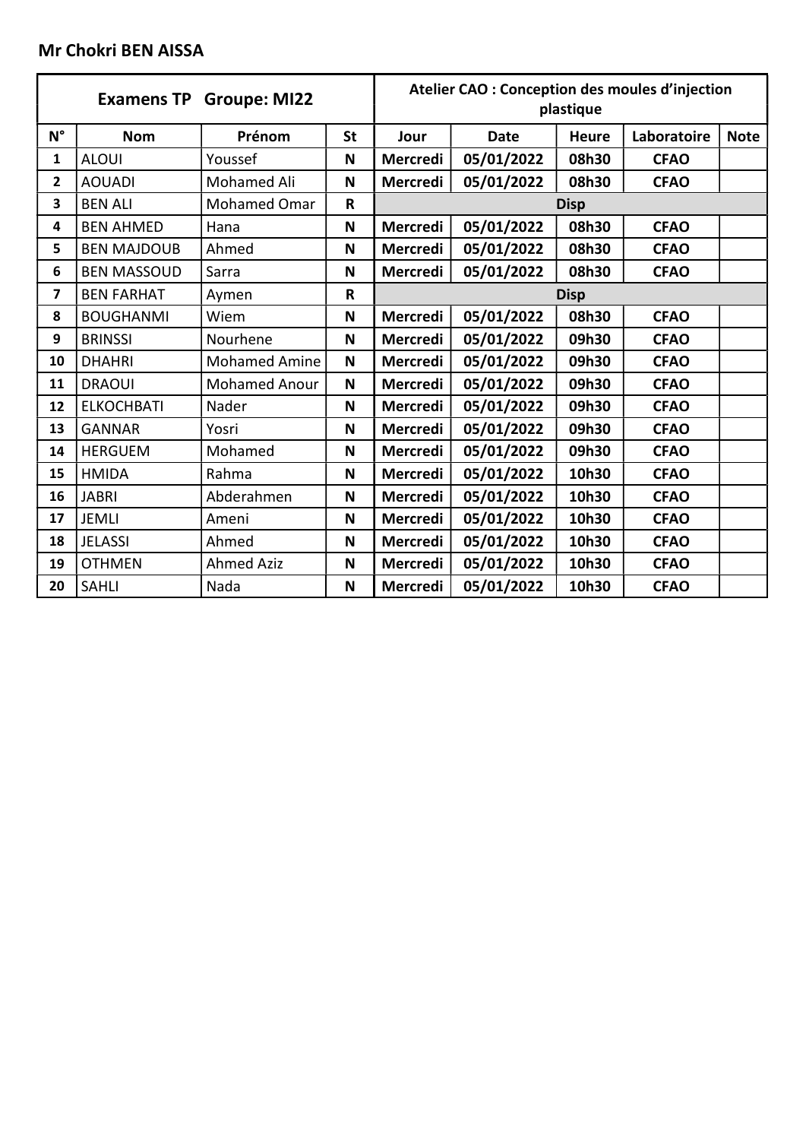# Mr Chokri BEN AISSA

|             |                    | <b>Examens TP Groupe: MI22</b> |                         |                 | Atelier CAO : Conception des moules d'injection | plastique    |             |             |
|-------------|--------------------|--------------------------------|-------------------------|-----------------|-------------------------------------------------|--------------|-------------|-------------|
| $N^{\circ}$ | <b>Nom</b>         | Prénom                         | <b>St</b>               | Jour            | <b>Date</b>                                     | <b>Heure</b> | Laboratoire | <b>Note</b> |
| 1           | <b>ALOUI</b>       | Youssef                        | N                       | <b>Mercredi</b> | 05/01/2022                                      | 08h30        | <b>CFAO</b> |             |
| 2           | <b>AOUADI</b>      | Mohamed Ali                    | $\mathsf N$             | <b>Mercredi</b> | 05/01/2022                                      | 08h30        | <b>CFAO</b> |             |
| 3           | <b>BEN ALI</b>     | <b>Mohamed Omar</b>            | $\overline{\mathsf{R}}$ |                 |                                                 | <b>Disp</b>  |             |             |
| 4           | <b>BEN AHMED</b>   | Hana                           | N                       | <b>Mercredi</b> | 05/01/2022                                      | 08h30        | <b>CFAO</b> |             |
| 5           | <b>BEN MAJDOUB</b> | Ahmed                          | N                       | Mercredi        | 05/01/2022                                      | 08h30        | <b>CFAO</b> |             |
| 6           | <b>BEN MASSOUD</b> | Sarra                          | N                       | <b>Mercredi</b> | 05/01/2022                                      | 08h30        | <b>CFAO</b> |             |
| 7           | <b>BEN FARHAT</b>  | Aymen                          | R                       |                 |                                                 | <b>Disp</b>  |             |             |
| 8           | <b>BOUGHANMI</b>   | Wiem                           | N                       | Mercredi        | 05/01/2022                                      | 08h30        | <b>CFAO</b> |             |
| 9           | <b>BRINSSI</b>     | Nourhene                       | N                       | Mercredi        | 05/01/2022                                      | 09h30        | <b>CFAO</b> |             |
| 10          | <b>DHAHRI</b>      | <b>Mohamed Amine</b>           | N                       | Mercredi        | 05/01/2022                                      | 09h30        | <b>CFAO</b> |             |
| 11          | <b>DRAOUI</b>      | <b>Mohamed Anour</b>           | N                       | Mercredi        | 05/01/2022                                      | 09h30        | <b>CFAO</b> |             |
| 12          | <b>ELKOCHBATI</b>  | Nader                          | N                       | <b>Mercredi</b> | 05/01/2022                                      | 09h30        | <b>CFAO</b> |             |
| 13          | <b>GANNAR</b>      | Yosri                          | N                       | Mercredi        | 05/01/2022                                      | 09h30        | <b>CFAO</b> |             |
| 14          | <b>HERGUEM</b>     | Mohamed                        | N                       | <b>Mercredi</b> | 05/01/2022                                      | 09h30        | <b>CFAO</b> |             |
| 15          | <b>HMIDA</b>       | Rahma                          | N                       | <b>Mercredi</b> | 05/01/2022                                      | 10h30        | <b>CFAO</b> |             |
| 16          | <b>JABRI</b>       | Abderahmen                     | N                       | <b>Mercredi</b> | 05/01/2022                                      | 10h30        | <b>CFAO</b> |             |
| 17          | <b>JEMLI</b>       | Ameni                          | N                       | <b>Mercredi</b> | 05/01/2022                                      | 10h30        | <b>CFAO</b> |             |
| 18          | <b>JELASSI</b>     | Ahmed                          | N                       | Mercredi        | 05/01/2022                                      | 10h30        | <b>CFAO</b> |             |
| 19          | <b>OTHMEN</b>      | <b>Ahmed Aziz</b>              | N                       | <b>Mercredi</b> | 05/01/2022                                      | 10h30        | <b>CFAO</b> |             |
| 20          | <b>SAHLI</b>       | Nada                           | N                       | Mercredi        | 05/01/2022                                      | 10h30        | <b>CFAO</b> |             |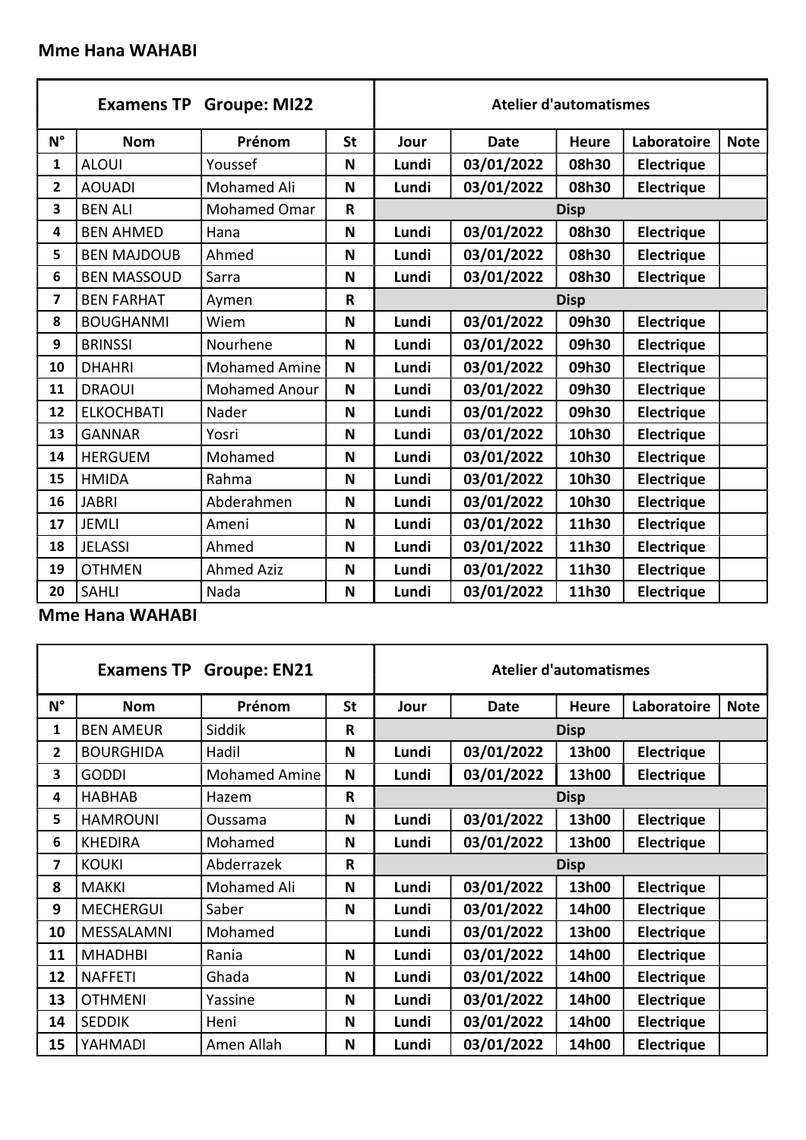### Mme Hana WAHABI

|             |                    | <b>Examens TP Groupe: MI22</b> |             |       |             | <b>Atelier d'automatismes</b> |                   |             |
|-------------|--------------------|--------------------------------|-------------|-------|-------------|-------------------------------|-------------------|-------------|
| $N^{\circ}$ | <b>Nom</b>         | Prénom                         | <b>St</b>   | Jour  | <b>Date</b> | <b>Heure</b>                  | Laboratoire       | <b>Note</b> |
| 1           | <b>ALOUI</b>       | Youssef                        | N           | Lundi | 03/01/2022  | 08h30                         | Electrique        |             |
| 2           | <b>AOUADI</b>      | Mohamed Ali                    | N           | Lundi | 03/01/2022  | 08h30                         | Electrique        |             |
| 3           | <b>BEN ALI</b>     | <b>Mohamed Omar</b>            | $\mathbf R$ |       |             | <b>Disp</b>                   |                   |             |
| 4           | <b>BEN AHMED</b>   | Hana                           | N           | Lundi | 03/01/2022  | 08h30                         | <b>Electrique</b> |             |
| 5           | <b>BEN MAJDOUB</b> | Ahmed                          | N           | Lundi | 03/01/2022  | 08h30                         | Electrique        |             |
| 6           | <b>BEN MASSOUD</b> | Sarra                          | N           | Lundi | 03/01/2022  | 08h30                         | <b>Electrique</b> |             |
| 7           | <b>BEN FARHAT</b>  | Aymen                          | R           |       |             | <b>Disp</b>                   |                   |             |
| 8           | <b>BOUGHANMI</b>   | Wiem                           | N           | Lundi | 03/01/2022  | 09h30                         | Electrique        |             |
| 9           | <b>BRINSSI</b>     | Nourhene                       | N           | Lundi | 03/01/2022  | 09h30                         | Electrique        |             |
| 10          | <b>DHAHRI</b>      | <b>Mohamed Amine</b>           | N           | Lundi | 03/01/2022  | 09h30                         | Electrique        |             |
| 11          | <b>DRAOUI</b>      | <b>Mohamed Anour</b>           | N           | Lundi | 03/01/2022  | 09h30                         | Electrique        |             |
| 12          | <b>ELKOCHBATI</b>  | Nader                          | N           | Lundi | 03/01/2022  | 09h30                         | Electrique        |             |
| 13          | <b>GANNAR</b>      | Yosri                          | N           | Lundi | 03/01/2022  | 10h30                         | Electrique        |             |
| 14          | <b>HERGUEM</b>     | Mohamed                        | N           | Lundi | 03/01/2022  | 10h30                         | <b>Electrique</b> |             |
| 15          | <b>HMIDA</b>       | Rahma                          | N           | Lundi | 03/01/2022  | 10h30                         | Electrique        |             |
| 16          | <b>JABRI</b>       | Abderahmen                     | N           | Lundi | 03/01/2022  | 10h30                         | Electrique        |             |
| 17          | <b>JEMLI</b>       | Ameni                          | N           | Lundi | 03/01/2022  | 11h30                         | Electrique        |             |
| 18          | <b>JELASSI</b>     | Ahmed                          | N           | Lundi | 03/01/2022  | 11h30                         | Electrique        |             |
| 19          | <b>OTHMEN</b>      | <b>Ahmed Aziz</b>              | N           | Lundi | 03/01/2022  | 11h30                         | Electrique        |             |
| 20          | <b>SAHLI</b>       | Nada                           | N           | Lundi | 03/01/2022  | 11h30                         | Electrique        |             |

Mme Hana WAHABI

| <b>Groupe: EN21</b><br><b>Examens TP</b> |                  |                      |              | <b>Atelier d'automatismes</b> |             |              |             |             |  |
|------------------------------------------|------------------|----------------------|--------------|-------------------------------|-------------|--------------|-------------|-------------|--|
| $N^{\circ}$                              | <b>Nom</b>       | Prénom               | <b>St</b>    | Jour                          | <b>Date</b> | <b>Heure</b> | Laboratoire | <b>Note</b> |  |
| 1                                        | <b>BEN AMEUR</b> | Siddik               | R            | <b>Disp</b>                   |             |              |             |             |  |
| 2                                        | <b>BOURGHIDA</b> | Hadil                | N            | Lundi                         | 03/01/2022  | 13h00        | Electrique  |             |  |
| 3                                        | <b>GODDI</b>     | <b>Mohamed Amine</b> | N            | Lundi                         | 03/01/2022  | 13h00        | Electrique  |             |  |
| 4                                        | <b>HABHAB</b>    | Hazem                | $\mathsf{R}$ | <b>Disp</b>                   |             |              |             |             |  |
| 5                                        | <b>HAMROUNI</b>  | Oussama              | N            | Lundi                         | 03/01/2022  | 13h00        | Electrique  |             |  |
| 6                                        | <b>KHEDIRA</b>   | Mohamed              | N            | Lundi                         | 03/01/2022  | 13h00        | Electrique  |             |  |
| 7                                        | <b>KOUKI</b>     | Abderrazek           | $\mathsf{R}$ | <b>Disp</b>                   |             |              |             |             |  |
| 8                                        | <b>MAKKI</b>     | Mohamed Ali          | N            | Lundi                         | 03/01/2022  | 13h00        | Electrique  |             |  |
| 9                                        | <b>MECHERGUI</b> | Saber                | N            | Lundi                         | 03/01/2022  | 14h00        | Electrique  |             |  |
| 10                                       | MESSALAMNI       | Mohamed              |              | Lundi                         | 03/01/2022  | 13h00        | Electrique  |             |  |
| 11                                       | <b>MHADHBI</b>   | Rania                | N            | Lundi                         | 03/01/2022  | 14h00        | Electrique  |             |  |
| 12                                       | <b>NAFFETI</b>   | Ghada                | N            | Lundi                         | 03/01/2022  | 14h00        | Electrique  |             |  |
| 13                                       | <b>OTHMENI</b>   | Yassine              | N            | Lundi                         | 03/01/2022  | 14h00        | Electrique  |             |  |
| 14                                       | <b>SEDDIK</b>    | Heni                 | N            | Lundi                         | 03/01/2022  | 14h00        | Electrique  |             |  |
| 15                                       | YAHMADI          | Amen Allah           | N            | Lundi                         | 03/01/2022  | 14h00        | Electrique  |             |  |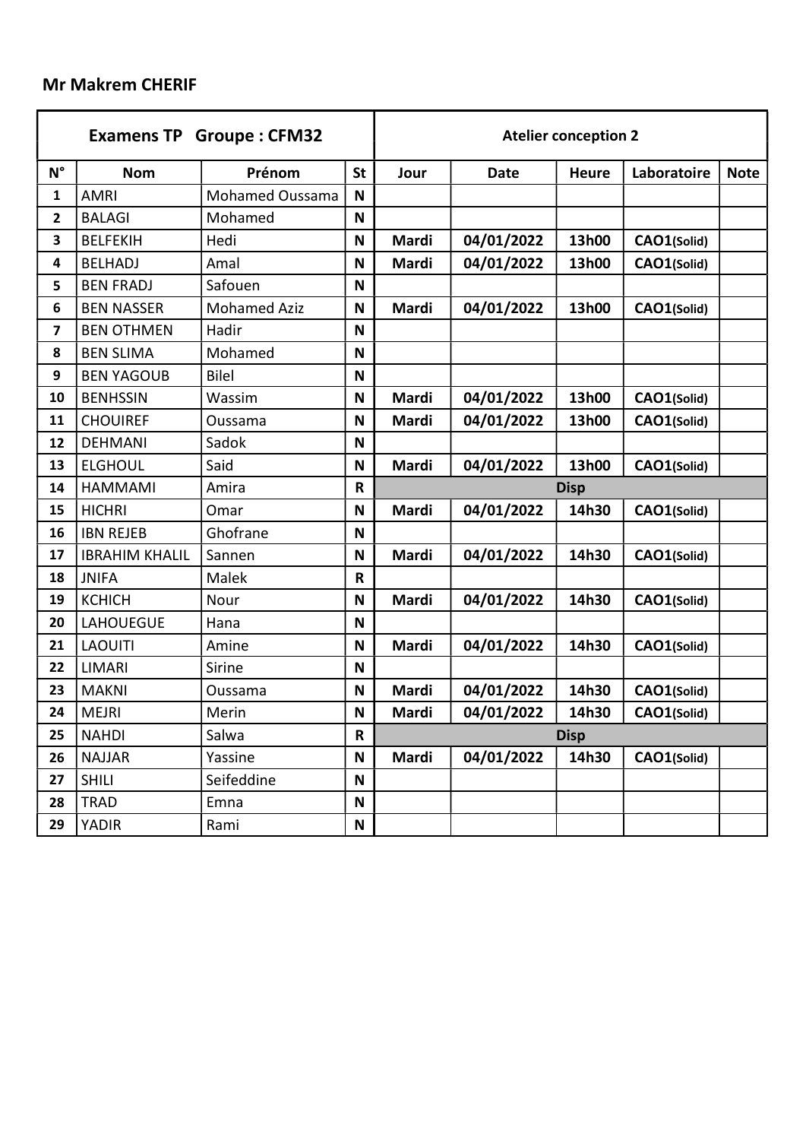## Mr Makrem CHERIF

| <b>Examens TP Groupe: CFM32</b> |                       |                     |              | <b>Atelier conception 2</b> |             |              |             |             |  |
|---------------------------------|-----------------------|---------------------|--------------|-----------------------------|-------------|--------------|-------------|-------------|--|
| $N^{\circ}$                     | <b>Nom</b>            | Prénom              | <b>St</b>    | Jour                        | <b>Date</b> | <b>Heure</b> | Laboratoire | <b>Note</b> |  |
| 1                               | <b>AMRI</b>           | Mohamed Oussama     | N            |                             |             |              |             |             |  |
| 2                               | <b>BALAGI</b>         | Mohamed             | N            |                             |             |              |             |             |  |
| 3                               | <b>BELFEKIH</b>       | Hedi                | N            | Mardi                       | 04/01/2022  | 13h00        | CAO1(Solid) |             |  |
| 4                               | <b>BELHADJ</b>        | Amal                | N            | Mardi                       | 04/01/2022  | 13h00        | CAO1(Solid) |             |  |
| 5                               | <b>BEN FRADJ</b>      | Safouen             | N            |                             |             |              |             |             |  |
| 6                               | <b>BEN NASSER</b>     | <b>Mohamed Aziz</b> | N            | Mardi                       | 04/01/2022  | 13h00        | CAO1(Solid) |             |  |
| 7                               | <b>BEN OTHMEN</b>     | Hadir               | N            |                             |             |              |             |             |  |
| 8                               | <b>BEN SLIMA</b>      | Mohamed             | N            |                             |             |              |             |             |  |
| 9                               | <b>BEN YAGOUB</b>     | <b>Bilel</b>        | N            |                             |             |              |             |             |  |
| 10                              | <b>BENHSSIN</b>       | Wassim              | N            | Mardi                       | 04/01/2022  | 13h00        | CAO1(Solid) |             |  |
| 11                              | <b>CHOUIREF</b>       | Oussama             | N            | Mardi                       | 04/01/2022  | 13h00        | CAO1(Solid) |             |  |
| 12                              | <b>DEHMANI</b>        | Sadok               | N            |                             |             |              |             |             |  |
| 13                              | <b>ELGHOUL</b>        | Said                | N            | Mardi                       | 04/01/2022  | 13h00        | CAO1(Solid) |             |  |
| 14                              | <b>HAMMAMI</b>        | Amira               | $\mathsf{R}$ | <b>Disp</b>                 |             |              |             |             |  |
| 15                              | <b>HICHRI</b>         | Omar                | N            | Mardi                       | 04/01/2022  | 14h30        | CAO1(Solid) |             |  |
| 16                              | <b>IBN REJEB</b>      | Ghofrane            | N            |                             |             |              |             |             |  |
| 17                              | <b>IBRAHIM KHALIL</b> | Sannen              | N            | Mardi                       | 04/01/2022  | 14h30        | CAO1(Solid) |             |  |
| 18                              | <b>JNIFA</b>          | Malek               | $\mathbf R$  |                             |             |              |             |             |  |
| 19                              | <b>KCHICH</b>         | Nour                | N            | Mardi                       | 04/01/2022  | 14h30        | CAO1(Solid) |             |  |
| 20                              | <b>LAHOUEGUE</b>      | Hana                | N            |                             |             |              |             |             |  |
| 21                              | <b>LAOUITI</b>        | Amine               | N            | <b>Mardi</b>                | 04/01/2022  | 14h30        | CAO1(Solid) |             |  |
| 22                              | <b>LIMARI</b>         | Sirine              | N            |                             |             |              |             |             |  |
| 23                              | <b>MAKNI</b>          | Oussama             | N            | <b>Mardi</b>                | 04/01/2022  | 14h30        | CAO1(Solid) |             |  |
| 24                              | <b>MEJRI</b>          | Merin               | N            | Mardi                       | 04/01/2022  | 14h30        | CAO1(Solid) |             |  |
| 25                              | <b>NAHDI</b>          | Salwa               | $\mathsf{R}$ | <b>Disp</b>                 |             |              |             |             |  |
| 26                              | <b>NAJJAR</b>         | Yassine             | N            | Mardi                       | 04/01/2022  | 14h30        | CAO1(Solid) |             |  |
| 27                              | <b>SHILI</b>          | Seifeddine          | N            |                             |             |              |             |             |  |
| 28                              | <b>TRAD</b>           | Emna                | N            |                             |             |              |             |             |  |
| 29                              | <b>YADIR</b>          | Rami                | N            |                             |             |              |             |             |  |